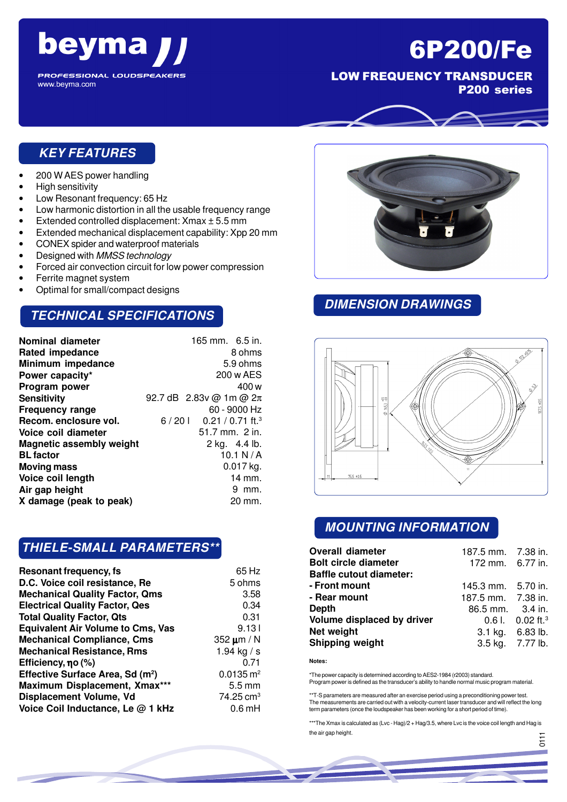

**PROFESSIONAL LOUDSPEAKERS** www.beyma.com

# 6P200/Fe

LOW FREQUENCY TRANSDUCER

P200 series

#### **KEY FEATURES**

- 200 W AES power handling
- High sensitivity
- Low Resonant frequency: 65 Hz
- Low harmonic distortion in all the usable frequency range
- Extended controlled displacement: Xmax ± 5.5 mm
- Extended mechanical displacement capability: Xpp 20 mm
- CONEX spider and waterproof materials
- Designed with MMSS technology
- Forced air convection circuit for low power compression
- Ferrite magnet system
- Optimal for small/compact designs

#### **TECHNICAL SPECIFICATIONS**

| 165 mm. 6.5 in.                      |
|--------------------------------------|
| 8 ohms                               |
| 5.9 ohms                             |
| 200 w AES                            |
| 400 w                                |
| 92.7 dB 2.83v @ 1m @ $2\pi$          |
| 60 - 9000 Hz                         |
| $6/201$ 0.21 / 0.71 ft. <sup>3</sup> |
| 51.7 mm. 2 in.                       |
| 2 kg. 4.4 lb.                        |
| 10.1 N/ $\lambda$                    |
| $0.017$ kg.                          |
| 14 mm.                               |
| 9 mm.                                |
| 20 mm.                               |
|                                      |

#### **THIELE-SMALL PARAMETERS\*\***

| <b>Resonant frequency, fs</b>                | 65 Hz                  |
|----------------------------------------------|------------------------|
| D.C. Voice coil resistance, Re               | 5 ohms                 |
| <b>Mechanical Quality Factor, Qms</b>        | 3.58                   |
| <b>Electrical Quality Factor, Qes</b>        | 0.34                   |
| <b>Total Quality Factor, Qts</b>             | 0.31                   |
| <b>Equivalent Air Volume to Cms, Vas</b>     | 9.131                  |
| <b>Mechanical Compliance, Cms</b>            | 352 $\mu$ m / N        |
| <b>Mechanical Resistance, Rms</b>            | 1.94 kg / s            |
| Efficiency, $\eta$ o (%)                     | 0.71                   |
| Effective Surface Area, Sd (m <sup>2</sup> ) | $0.0135 \, \text{m}^2$ |
| Maximum Displacement, Xmax***                | $5.5 \,\mathrm{mm}$    |
| Displacement Volume, Vd                      | $74.25 \text{ cm}^3$   |
| Voice Coil Inductance, Le @ 1 kHz            | $0.6$ mH               |



#### **DIMENSION DRAWINGS**



#### **MOUNTING INFORMATION**

| <b>Overall diameter</b><br><b>Bolt circle diameter</b><br><b>Baffle cutout diameter:</b> | 187.5 mm. 7.38 in.<br>172 mm. 6.77 in. |                                  |
|------------------------------------------------------------------------------------------|----------------------------------------|----------------------------------|
| - Front mount                                                                            | 145.3 mm. 5.70 in.                     |                                  |
| - Rear mount                                                                             | 187.5 mm. 7.38 in.                     |                                  |
| Depth                                                                                    | 86.5 mm. 3.4 in.                       |                                  |
| Volume displaced by driver                                                               |                                        | $0.6$ l. $0.02$ ft. <sup>3</sup> |
| Net weight                                                                               |                                        | 3.1 kg. 6.83 lb.                 |
| <b>Shipping weight</b>                                                                   |                                        | 3.5 kg. 7.77 lb.                 |

**Notes:**

\*The power capacity is determined according to AES2-1984 (r2003) standard. Program power is defined as the transducer's ability to handle normal music program material.

\*\*T-S parameters are measured after an exercise period using a preconditioning power test. The measurements are carried out with a velocity-current laser transducer and will reflect the long term parameters (once the loudspeaker has been working for a short period of time).

\*\*\*The Xmax is calculated as (Lvc - Hag)/2 + Hag/3.5, where Lvc is the voice coil length and Hag is the air gap height.

056

<u>.</u><br>ठ